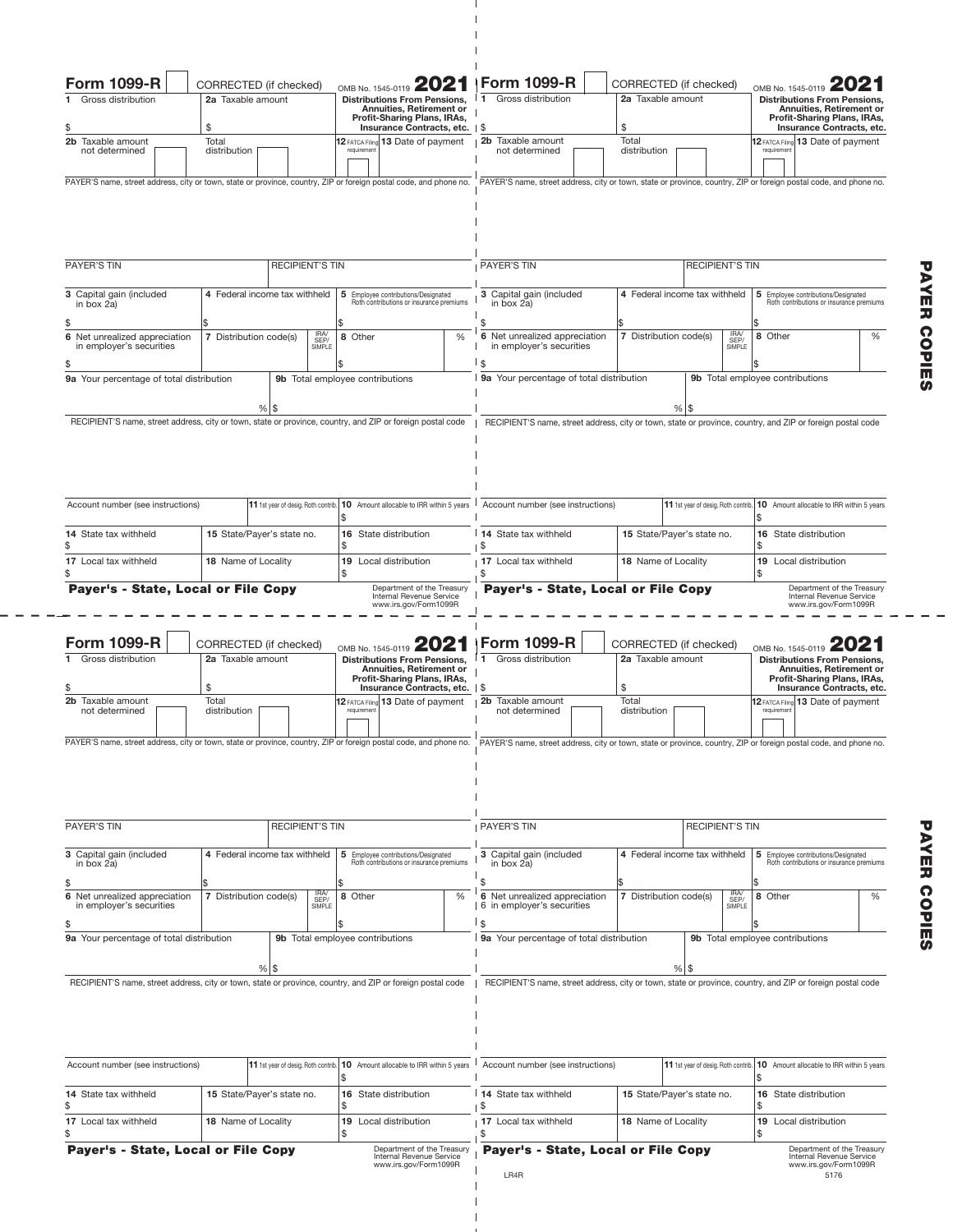| Form 1099-R<br>CORRECTED (if checked)<br>Gross distribution<br>2a Taxable amount                                                                                                                                                                                                        |                                                   |                             |                                                                                                                                                                                                                 |                                                                                    | OMB No. 1545-0119 <b>ZUZ</b><br><b>Distributions From Pensions,</b><br>Annuities, Retirement or |                                                                                                                                                                                                                                                                                  | <b>Form 1099-R</b><br>Gross distribution<br>$\blacktriangleleft$                                                  | CORRECTED (if checked)<br>2a Taxable amount |                                     |                                                                                                                  | OMB No. 1545-0119<br><b>Distributions From Pensions,</b><br>Annuities, Retirement or                                                                                                                  |                                                                                 |                                                                                         |   |  |
|-----------------------------------------------------------------------------------------------------------------------------------------------------------------------------------------------------------------------------------------------------------------------------------------|---------------------------------------------------|-----------------------------|-----------------------------------------------------------------------------------------------------------------------------------------------------------------------------------------------------------------|------------------------------------------------------------------------------------|-------------------------------------------------------------------------------------------------|----------------------------------------------------------------------------------------------------------------------------------------------------------------------------------------------------------------------------------------------------------------------------------|-------------------------------------------------------------------------------------------------------------------|---------------------------------------------|-------------------------------------|------------------------------------------------------------------------------------------------------------------|-------------------------------------------------------------------------------------------------------------------------------------------------------------------------------------------------------|---------------------------------------------------------------------------------|-----------------------------------------------------------------------------------------|---|--|
| \$                                                                                                                                                                                                                                                                                      | \$                                                |                             |                                                                                                                                                                                                                 |                                                                                    | Profit-Sharing Plans, IRAs,<br>Insurance Contracts, etc.   \$                                   |                                                                                                                                                                                                                                                                                  |                                                                                                                   | \$                                          |                                     |                                                                                                                  |                                                                                                                                                                                                       | Profit-Sharing Plans, IRAs,<br>Insurance Contracts, etc.                        |                                                                                         |   |  |
| 2b Taxable amount<br>not determined                                                                                                                                                                                                                                                     | Total<br>distribution                             |                             | 12 FATCA Filing 13 Date of payment<br>requirement                                                                                                                                                               |                                                                                    |                                                                                                 | B Taxable amount<br>not determined                                                                                                                                                                                                                                               |                                                                                                                   | Total<br>distribution                       |                                     |                                                                                                                  | 12 FATCA Filing 13 Date of payment<br>requirement                                                                                                                                                     |                                                                                 |                                                                                         |   |  |
| PAYER'S name, street address, city or town, state or province, country, ZIP or foreign postal code, and phone no.                                                                                                                                                                       |                                                   |                             |                                                                                                                                                                                                                 |                                                                                    |                                                                                                 |                                                                                                                                                                                                                                                                                  | PAYER'S name, street address, city or town, state or province, country, ZIP or foreign postal code, and phone no. |                                             |                                     |                                                                                                                  |                                                                                                                                                                                                       |                                                                                 |                                                                                         |   |  |
| PAYER'S TIN<br><b>RECIPIENT'S TIN</b>                                                                                                                                                                                                                                                   |                                                   |                             |                                                                                                                                                                                                                 |                                                                                    |                                                                                                 |                                                                                                                                                                                                                                                                                  | <b>PAYER'S TIN</b>                                                                                                |                                             |                                     |                                                                                                                  | <b>RECIPIENT'S TIN</b>                                                                                                                                                                                |                                                                                 |                                                                                         |   |  |
| 3 Capital gain (included                                                                                                                                                                                                                                                                | 4 Federal income tax withheld                     |                             |                                                                                                                                                                                                                 | 5<br>Employee contributions/Designated<br>Roth contributions or insurance premiums |                                                                                                 |                                                                                                                                                                                                                                                                                  | 3 Capital gain (included                                                                                          |                                             |                                     | 4 Federal income tax withheld<br>5 Employee contributions/Designated<br>Roth contributions or insurance premiums |                                                                                                                                                                                                       |                                                                                 |                                                                                         |   |  |
| in box 2a)<br>\$                                                                                                                                                                                                                                                                        |                                                   |                             |                                                                                                                                                                                                                 |                                                                                    |                                                                                                 |                                                                                                                                                                                                                                                                                  | in box 2a)                                                                                                        |                                             |                                     |                                                                                                                  |                                                                                                                                                                                                       |                                                                                 |                                                                                         |   |  |
| 6 Net unrealized appreciation<br>in employer's securities                                                                                                                                                                                                                               | 7 Distribution code(s)                            |                             | SEP/<br>SIMPI F                                                                                                                                                                                                 | 8 Other                                                                            |                                                                                                 |                                                                                                                                                                                                                                                                                  | 6 Net unrealized appreciation<br>in employer's securities                                                         |                                             |                                     | 7 Distribution code(s)<br>SIMPI F                                                                                |                                                                                                                                                                                                       | 8 Other                                                                         |                                                                                         | % |  |
| S<br>9a Your percentage of total distribution                                                                                                                                                                                                                                           |                                                   |                             |                                                                                                                                                                                                                 |                                                                                    | 9b Total employee contributions                                                                 |                                                                                                                                                                                                                                                                                  | l s<br>I 9a Your percentage of total distribution                                                                 |                                             |                                     |                                                                                                                  |                                                                                                                                                                                                       | 9b Total employee contributions                                                 |                                                                                         |   |  |
| $%$ \\$                                                                                                                                                                                                                                                                                 |                                                   |                             |                                                                                                                                                                                                                 |                                                                                    |                                                                                                 |                                                                                                                                                                                                                                                                                  |                                                                                                                   |                                             | $%$   \$                            |                                                                                                                  |                                                                                                                                                                                                       |                                                                                 |                                                                                         |   |  |
|                                                                                                                                                                                                                                                                                         |                                                   |                             |                                                                                                                                                                                                                 |                                                                                    |                                                                                                 |                                                                                                                                                                                                                                                                                  |                                                                                                                   |                                             |                                     |                                                                                                                  |                                                                                                                                                                                                       |                                                                                 |                                                                                         |   |  |
| Account number (see instructions)<br>11 1st year of desig. Roth contrib.                                                                                                                                                                                                                |                                                   |                             | 10 Amount allocable to IRR within 5 years<br>\$                                                                                                                                                                 |                                                                                    |                                                                                                 | Account number (see instructions)                                                                                                                                                                                                                                                |                                                                                                                   |                                             |                                     |                                                                                                                  |                                                                                                                                                                                                       | 11 1st year of desig. Roth contrib.   10 Amount allocable to IRR within 5 years |                                                                                         |   |  |
| 14 State tax withheld<br>\$                                                                                                                                                                                                                                                             | 15 State/Payer's state no.                        |                             |                                                                                                                                                                                                                 | 16<br>State distribution<br>S                                                      |                                                                                                 |                                                                                                                                                                                                                                                                                  | <b>14</b> State tax withheld<br>∣\$                                                                               |                                             |                                     | 15 State/Payer's state no.                                                                                       |                                                                                                                                                                                                       |                                                                                 | 16 State distribution<br>\$                                                             |   |  |
| 17 Local tax withheld<br>18 Name of Locality                                                                                                                                                                                                                                            |                                                   |                             |                                                                                                                                                                                                                 | 19<br>Local distribution                                                           |                                                                                                 |                                                                                                                                                                                                                                                                                  | 17 Local tax withheld<br>18 Name of Locality                                                                      |                                             |                                     |                                                                                                                  | 19 Local distribution<br>\$                                                                                                                                                                           |                                                                                 |                                                                                         |   |  |
| Payer's - State, Local or File Copy<br>Department of the Treasury<br>Internal Revenue Service<br>www.irs.gov/Form1099R                                                                                                                                                                  |                                                   |                             |                                                                                                                                                                                                                 |                                                                                    |                                                                                                 |                                                                                                                                                                                                                                                                                  | Payer's - State, Local or File Copy                                                                               |                                             |                                     |                                                                                                                  |                                                                                                                                                                                                       | Department of the Treasury<br>Internal Revenue Service<br>www.irs.gov/Form1099R |                                                                                         |   |  |
| Form 1099-R<br>CORRECTED (if checked)<br>Gross distribution<br>2a Taxable amount<br>1.<br>\$<br>\$<br>2b Taxable amount<br>Total<br>distribution<br>not determined<br>PAYER'S name, street address, city or town, state or province, country, ZIP or foreign postal code, and phone no. |                                                   |                             | OMB No. 1545-0119 2021<br><b>Distributions From Pensions,</b><br>Annuities, Retirement or<br>Profit-Sharing Plans, IRAs,<br>Insurance Contracts, etc.   \$<br>12 FATCA Filing 13 Date of payment<br>requirement |                                                                                    |                                                                                                 | <b>Form 1099-R</b><br>Gross distribution<br>$\mathbf{1}$<br>2a Taxable amount<br>\$<br><b>12b</b> Taxable amount<br>Total<br>distribution<br>not determined<br>PAYER'S name, street address, city or town, state or province, country, ZIP or foreign postal code, and phone no. |                                                                                                                   |                                             | CORRECTED (if checked)              |                                                                                                                  | OMB No. 1545-0119<br><b>Distributions From Pensions,</b><br>Annuities, Retirement or<br>Profit-Sharing Plans, IRAs,<br>Insurance Contracts, etc.<br>12 FATCA Filing 13 Date of payment<br>requirement |                                                                                 |                                                                                         |   |  |
| <b>PAYER'S TIN</b>                                                                                                                                                                                                                                                                      |                                                   | <b>RECIPIENT'S TIN</b>      |                                                                                                                                                                                                                 |                                                                                    |                                                                                                 |                                                                                                                                                                                                                                                                                  | <b>PAYER'S TIN</b>                                                                                                |                                             |                                     |                                                                                                                  | <b>RECIPIENT'S TIN</b>                                                                                                                                                                                |                                                                                 |                                                                                         |   |  |
| 3 Capital gain (included<br>in box $2a$ )                                                                                                                                                                                                                                               | 4 Federal income tax withheld                     |                             | 5 Employee contributions/Designated<br>Roth contributions or insurance premiums                                                                                                                                 |                                                                                    |                                                                                                 | 3 Capital gain (included<br>in box $2a$ )                                                                                                                                                                                                                                        |                                                                                                                   |                                             | 4 Federal income tax withheld       |                                                                                                                  | 5 Employee contributions/Designated<br>Roth contributions or insurance premiums                                                                                                                       |                                                                                 |                                                                                         |   |  |
| \$<br>6 Net unrealized appreciation<br>in employer's securities<br>\$                                                                                                                                                                                                                   | IRA/<br>SEP/<br>7 Distribution code(s)<br>SIMPI F |                             | 8 Other                                                                                                                                                                                                         |                                                                                    | $\frac{0}{0}$                                                                                   | \$<br>6 Net unrealized appreciation<br>  6 in employer's securities<br>I s                                                                                                                                                                                                       |                                                                                                                   | 7 Distribution code(s)                      |                                     | IRA/<br>SEP/<br>SIMPI F                                                                                          | 8 Other                                                                                                                                                                                               |                                                                                 | %                                                                                       |   |  |
| 9a Your percentage of total distribution                                                                                                                                                                                                                                                |                                                   | $%$   \$                    |                                                                                                                                                                                                                 |                                                                                    | 9b Total employee contributions                                                                 |                                                                                                                                                                                                                                                                                  | I 9a Your percentage of total distribution                                                                        |                                             |                                     |                                                                                                                  |                                                                                                                                                                                                       | 9b Total employee contributions                                                 |                                                                                         |   |  |
| RECIPIENT'S name, street address, city or town, state or province, country, and ZIP or foreign postal code                                                                                                                                                                              |                                                   |                             |                                                                                                                                                                                                                 |                                                                                    |                                                                                                 |                                                                                                                                                                                                                                                                                  | RECIPIENT'S name, street address, city or town, state or province, country, and ZIP or foreign postal code        |                                             |                                     | $%$ \ \$                                                                                                         |                                                                                                                                                                                                       |                                                                                 |                                                                                         |   |  |
| Account number (see instructions)<br>11 1st year of desig. Roth contrib.                                                                                                                                                                                                                |                                                   |                             |                                                                                                                                                                                                                 | 10 Amount allocable to IRR within 5 years                                          |                                                                                                 |                                                                                                                                                                                                                                                                                  | Account number (see instructions)                                                                                 |                                             | 11 1st year of desig. Roth contrib. |                                                                                                                  |                                                                                                                                                                                                       | 10 Amount allocable to IRR within 5 years                                       |                                                                                         |   |  |
| 14 State tax withheld<br>\$                                                                                                                                                                                                                                                             | 15 State/Payer's state no.                        |                             | 16 State distribution<br>S                                                                                                                                                                                      |                                                                                    |                                                                                                 | 114 State tax withheld<br>1 <sup>5</sup>                                                                                                                                                                                                                                         |                                                                                                                   |                                             | 15 State/Payer's state no.          |                                                                                                                  | 16 State distribution<br>\$                                                                                                                                                                           |                                                                                 |                                                                                         |   |  |
| 17 Local tax withheld                                                                                                                                                                                                                                                                   | 18 Name of Locality                               | 19 Local distribution<br>\$ |                                                                                                                                                                                                                 |                                                                                    | 18 Name of Locality<br>17 Local tax withheld                                                    |                                                                                                                                                                                                                                                                                  |                                                                                                                   |                                             | 19 Local distribution<br>\$         |                                                                                                                  |                                                                                                                                                                                                       |                                                                                 |                                                                                         |   |  |
| Payer's - State, Local or File Copy                                                                                                                                                                                                                                                     |                                                   |                             |                                                                                                                                                                                                                 |                                                                                    | Department of the Treasury<br>Internal Revenue Service<br>www.irs.gov/Form1099R                 |                                                                                                                                                                                                                                                                                  | Payer's - State, Local or File Copy<br>LR4R                                                                       |                                             |                                     |                                                                                                                  |                                                                                                                                                                                                       |                                                                                 | Department of the Treasury<br>Internal Revenue Service<br>www.irs.gov/Form1099R<br>5176 |   |  |

 $\equiv$  $\rightarrow$   $\begin{array}{c} 1 \\ 1 \\ 1 \\ 1 \end{array}$ 

P<br>R<br>R<br>R<br>R PAYER COPIES COPIES

 $=$   $-$ 

 $\overline{a}$